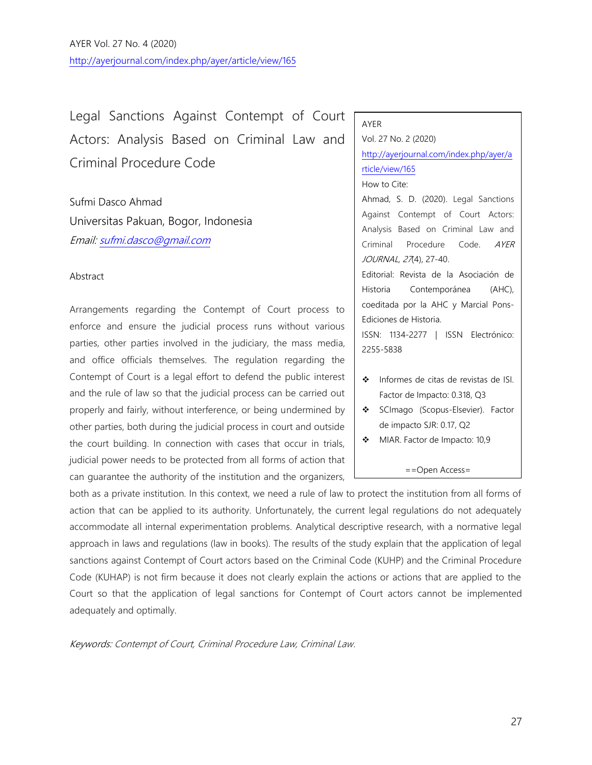AYER Vol. 27 No. 4 (2020) <http://ayerjournal.com/index.php/ayer/article/view/165>

Legal Sanctions Against Contempt of Court Actors: Analysis Based on Criminal Law and Criminal Procedure Code

Sufmi Dasco Ahmad Universitas Pakuan, Bogor, Indonesia Email: [sufmi.dasco@gmail.com](mailto:sufmi.dasco@gmail.com)

### Abstract

Arrangements regarding the Contempt of Court process to enforce and ensure the judicial process runs without various parties, other parties involved in the judiciary, the mass media, and office officials themselves. The regulation regarding the Contempt of Court is a legal effort to defend the public interest and the rule of law so that the judicial process can be carried out properly and fairly, without interference, or being undermined by other parties, both during the judicial process in court and outside the court building. In connection with cases that occur in trials, judicial power needs to be protected from all forms of action that can guarantee the authority of the institution and the organizers,

#### AYER

Vol. 27 No. 2 (2020) [http://ayerjournal.com/index.php/ayer/a](http://ayerjournal.com/index.php/ayer/article/view/165) [rticle/view/165](http://ayerjournal.com/index.php/ayer/article/view/165) How to Cite: Ahmad, S. D. (2020). Legal Sanctions Against Contempt of Court Actors:

Analysis Based on Criminal Law and Criminal Procedure Code. AYER JOURNAL, 27(4), 27-40.

Editorial: Revista de la Asociación de Historia Contemporánea (AHC), coeditada por la AHC y Marcial Pons-Ediciones de Historia.

ISSN: 1134-2277 | ISSN Electrónico: 2255-5838

- ❖ Informes de citas de revistas de ISI. Factor de Impacto: 0.318, Q3
- ❖ SCImago (Scopus-Elsevier). Factor de impacto SJR: 0.17, Q2
- ❖ MIAR. Factor de Impacto: 10,9

==Open Access=

both as a private institution. In this context, we need a rule of law to protect the institution from all forms of action that can be applied to its authority. Unfortunately, the current legal regulations do not adequately accommodate all internal experimentation problems. Analytical descriptive research, with a normative legal approach in laws and regulations (law in books). The results of the study explain that the application of legal sanctions against Contempt of Court actors based on the Criminal Code (KUHP) and the Criminal Procedure Code (KUHAP) is not firm because it does not clearly explain the actions or actions that are applied to the Court so that the application of legal sanctions for Contempt of Court actors cannot be implemented adequately and optimally.

Keywords: Contempt of Court, Criminal Procedure Law, Criminal Law.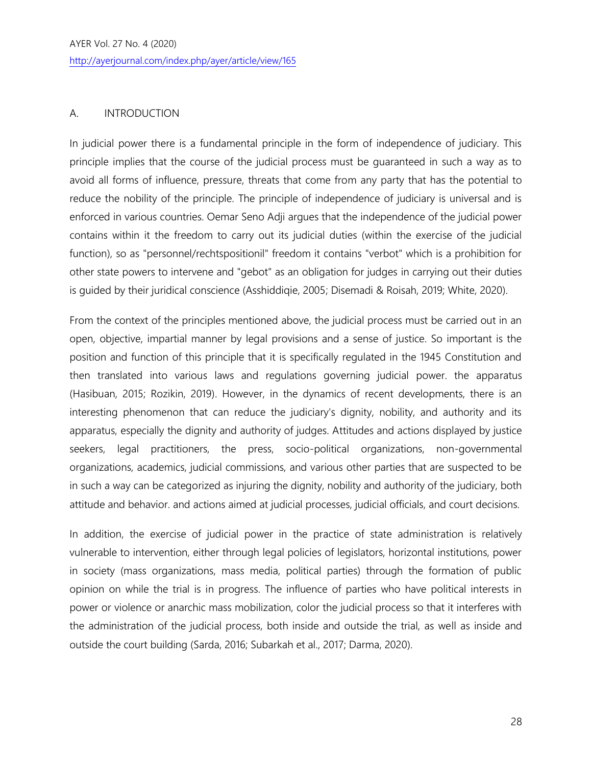## A. INTRODUCTION

In judicial power there is a fundamental principle in the form of independence of judiciary. This principle implies that the course of the judicial process must be guaranteed in such a way as to avoid all forms of influence, pressure, threats that come from any party that has the potential to reduce the nobility of the principle. The principle of independence of judiciary is universal and is enforced in various countries. Oemar Seno Adji argues that the independence of the judicial power contains within it the freedom to carry out its judicial duties (within the exercise of the judicial function), so as "personnel/rechtspositionil" freedom it contains "verbot" which is a prohibition for other state powers to intervene and "gebot" as an obligation for judges in carrying out their duties is guided by their juridical conscience (Asshiddiqie, 2005; Disemadi & Roisah, 2019; White, 2020).

From the context of the principles mentioned above, the judicial process must be carried out in an open, objective, impartial manner by legal provisions and a sense of justice. So important is the position and function of this principle that it is specifically regulated in the 1945 Constitution and then translated into various laws and regulations governing judicial power. the apparatus (Hasibuan, 2015; Rozikin, 2019). However, in the dynamics of recent developments, there is an interesting phenomenon that can reduce the judiciary's dignity, nobility, and authority and its apparatus, especially the dignity and authority of judges. Attitudes and actions displayed by justice seekers, legal practitioners, the press, socio-political organizations, non-governmental organizations, academics, judicial commissions, and various other parties that are suspected to be in such a way can be categorized as injuring the dignity, nobility and authority of the judiciary, both attitude and behavior. and actions aimed at judicial processes, judicial officials, and court decisions.

In addition, the exercise of judicial power in the practice of state administration is relatively vulnerable to intervention, either through legal policies of legislators, horizontal institutions, power in society (mass organizations, mass media, political parties) through the formation of public opinion on while the trial is in progress. The influence of parties who have political interests in power or violence or anarchic mass mobilization, color the judicial process so that it interferes with the administration of the judicial process, both inside and outside the trial, as well as inside and outside the court building (Sarda, 2016; Subarkah et al., 2017; Darma, 2020).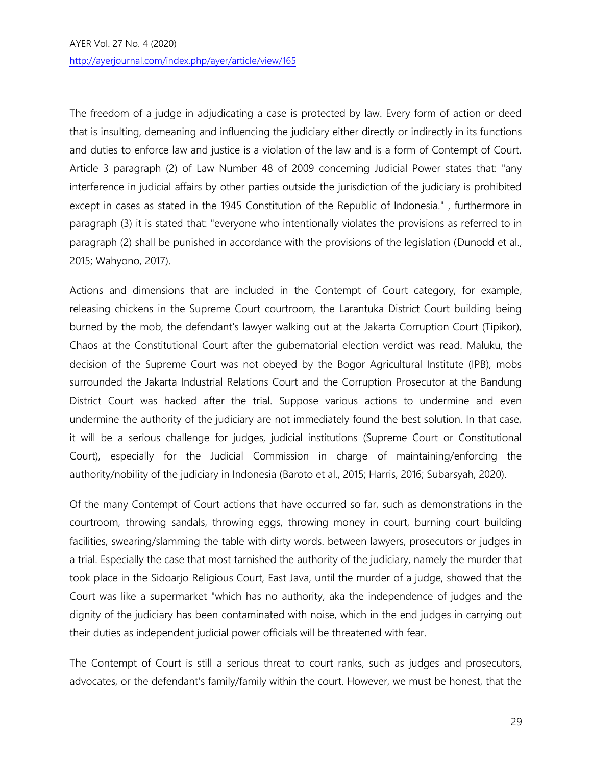The freedom of a judge in adjudicating a case is protected by law. Every form of action or deed that is insulting, demeaning and influencing the judiciary either directly or indirectly in its functions and duties to enforce law and justice is a violation of the law and is a form of Contempt of Court. Article 3 paragraph (2) of Law Number 48 of 2009 concerning Judicial Power states that: "any interference in judicial affairs by other parties outside the jurisdiction of the judiciary is prohibited except in cases as stated in the 1945 Constitution of the Republic of Indonesia." , furthermore in paragraph (3) it is stated that: "everyone who intentionally violates the provisions as referred to in paragraph (2) shall be punished in accordance with the provisions of the legislation (Dunodd et al., 2015; Wahyono, 2017).

Actions and dimensions that are included in the Contempt of Court category, for example, releasing chickens in the Supreme Court courtroom, the Larantuka District Court building being burned by the mob, the defendant's lawyer walking out at the Jakarta Corruption Court (Tipikor), Chaos at the Constitutional Court after the gubernatorial election verdict was read. Maluku, the decision of the Supreme Court was not obeyed by the Bogor Agricultural Institute (IPB), mobs surrounded the Jakarta Industrial Relations Court and the Corruption Prosecutor at the Bandung District Court was hacked after the trial. Suppose various actions to undermine and even undermine the authority of the judiciary are not immediately found the best solution. In that case, it will be a serious challenge for judges, judicial institutions (Supreme Court or Constitutional Court), especially for the Judicial Commission in charge of maintaining/enforcing the authority/nobility of the judiciary in Indonesia (Baroto et al., 2015; Harris, 2016; Subarsyah, 2020).

Of the many Contempt of Court actions that have occurred so far, such as demonstrations in the courtroom, throwing sandals, throwing eggs, throwing money in court, burning court building facilities, swearing/slamming the table with dirty words. between lawyers, prosecutors or judges in a trial. Especially the case that most tarnished the authority of the judiciary, namely the murder that took place in the Sidoarjo Religious Court, East Java, until the murder of a judge, showed that the Court was like a supermarket "which has no authority, aka the independence of judges and the dignity of the judiciary has been contaminated with noise, which in the end judges in carrying out their duties as independent judicial power officials will be threatened with fear.

The Contempt of Court is still a serious threat to court ranks, such as judges and prosecutors, advocates, or the defendant's family/family within the court. However, we must be honest, that the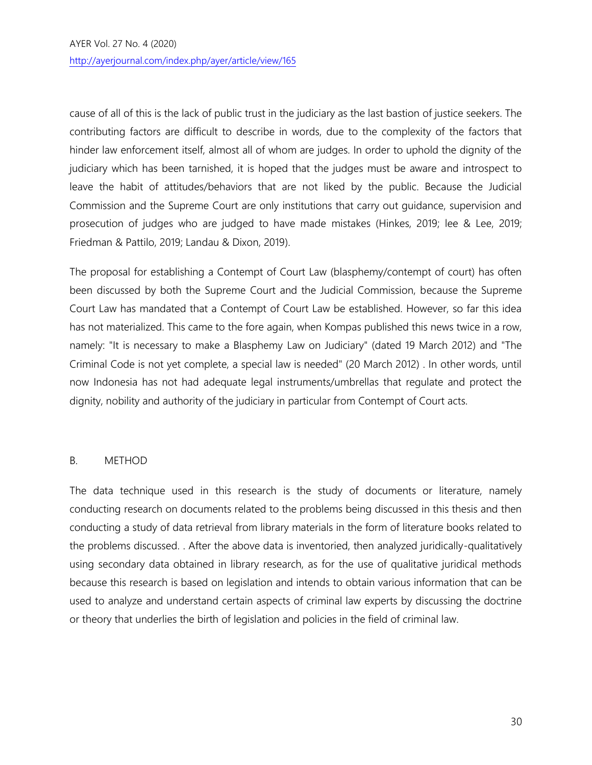cause of all of this is the lack of public trust in the judiciary as the last bastion of justice seekers. The contributing factors are difficult to describe in words, due to the complexity of the factors that hinder law enforcement itself, almost all of whom are judges. In order to uphold the dignity of the judiciary which has been tarnished, it is hoped that the judges must be aware and introspect to leave the habit of attitudes/behaviors that are not liked by the public. Because the Judicial Commission and the Supreme Court are only institutions that carry out guidance, supervision and prosecution of judges who are judged to have made mistakes (Hinkes, 2019; lee & Lee, 2019; Friedman & Pattilo, 2019; Landau & Dixon, 2019).

The proposal for establishing a Contempt of Court Law (blasphemy/contempt of court) has often been discussed by both the Supreme Court and the Judicial Commission, because the Supreme Court Law has mandated that a Contempt of Court Law be established. However, so far this idea has not materialized. This came to the fore again, when Kompas published this news twice in a row, namely: "It is necessary to make a Blasphemy Law on Judiciary" (dated 19 March 2012) and "The Criminal Code is not yet complete, a special law is needed" (20 March 2012) . In other words, until now Indonesia has not had adequate legal instruments/umbrellas that regulate and protect the dignity, nobility and authority of the judiciary in particular from Contempt of Court acts.

## B. METHOD

The data technique used in this research is the study of documents or literature, namely conducting research on documents related to the problems being discussed in this thesis and then conducting a study of data retrieval from library materials in the form of literature books related to the problems discussed. . After the above data is inventoried, then analyzed juridically-qualitatively using secondary data obtained in library research, as for the use of qualitative juridical methods because this research is based on legislation and intends to obtain various information that can be used to analyze and understand certain aspects of criminal law experts by discussing the doctrine or theory that underlies the birth of legislation and policies in the field of criminal law.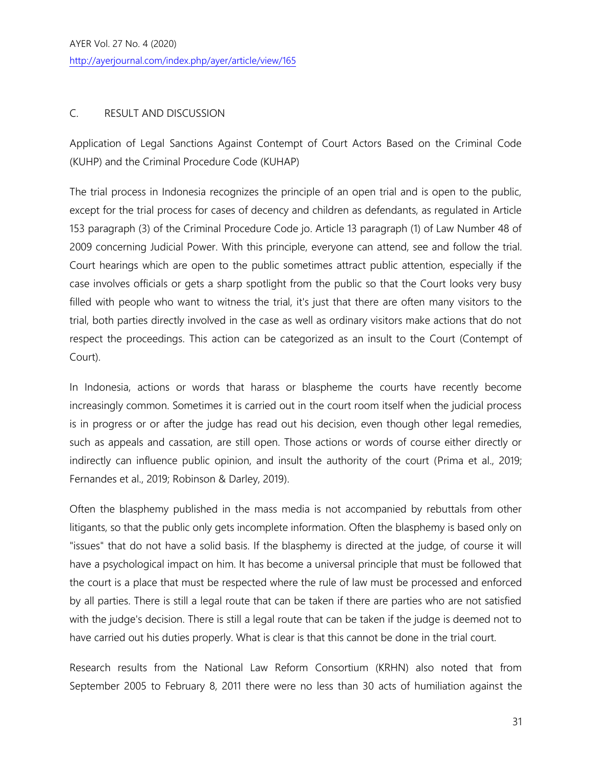## C. RESULT AND DISCUSSION

Application of Legal Sanctions Against Contempt of Court Actors Based on the Criminal Code (KUHP) and the Criminal Procedure Code (KUHAP)

The trial process in Indonesia recognizes the principle of an open trial and is open to the public, except for the trial process for cases of decency and children as defendants, as regulated in Article 153 paragraph (3) of the Criminal Procedure Code jo. Article 13 paragraph (1) of Law Number 48 of 2009 concerning Judicial Power. With this principle, everyone can attend, see and follow the trial. Court hearings which are open to the public sometimes attract public attention, especially if the case involves officials or gets a sharp spotlight from the public so that the Court looks very busy filled with people who want to witness the trial, it's just that there are often many visitors to the trial, both parties directly involved in the case as well as ordinary visitors make actions that do not respect the proceedings. This action can be categorized as an insult to the Court (Contempt of Court).

In Indonesia, actions or words that harass or blaspheme the courts have recently become increasingly common. Sometimes it is carried out in the court room itself when the judicial process is in progress or or after the judge has read out his decision, even though other legal remedies, such as appeals and cassation, are still open. Those actions or words of course either directly or indirectly can influence public opinion, and insult the authority of the court (Prima et al., 2019; Fernandes et al., 2019; Robinson & Darley, 2019).

Often the blasphemy published in the mass media is not accompanied by rebuttals from other litigants, so that the public only gets incomplete information. Often the blasphemy is based only on "issues" that do not have a solid basis. If the blasphemy is directed at the judge, of course it will have a psychological impact on him. It has become a universal principle that must be followed that the court is a place that must be respected where the rule of law must be processed and enforced by all parties. There is still a legal route that can be taken if there are parties who are not satisfied with the judge's decision. There is still a legal route that can be taken if the judge is deemed not to have carried out his duties properly. What is clear is that this cannot be done in the trial court.

Research results from the National Law Reform Consortium (KRHN) also noted that from September 2005 to February 8, 2011 there were no less than 30 acts of humiliation against the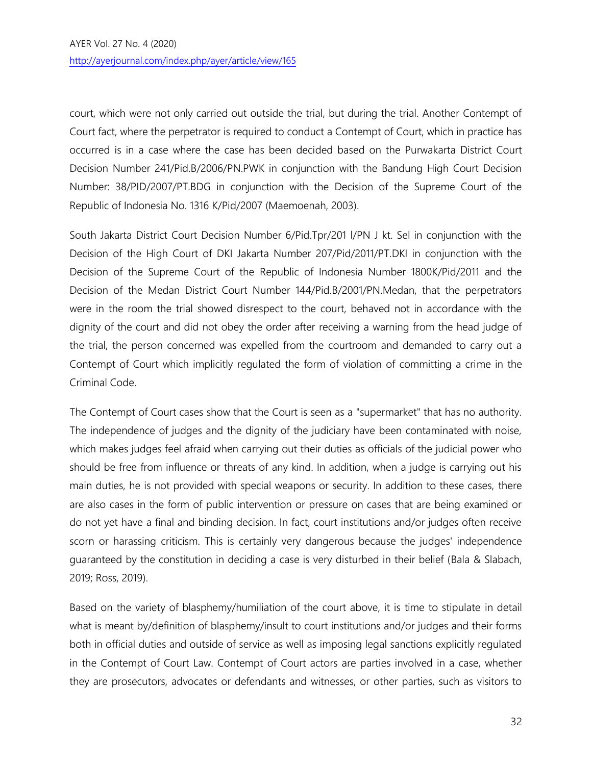court, which were not only carried out outside the trial, but during the trial. Another Contempt of Court fact, where the perpetrator is required to conduct a Contempt of Court, which in practice has occurred is in a case where the case has been decided based on the Purwakarta District Court Decision Number 241/Pid.B/2006/PN.PWK in conjunction with the Bandung High Court Decision Number: 38/PID/2007/PT.BDG in conjunction with the Decision of the Supreme Court of the Republic of Indonesia No. 1316 K/Pid/2007 (Maemoenah, 2003).

South Jakarta District Court Decision Number 6/Pid.Tpr/201 l/PN J kt. Sel in conjunction with the Decision of the High Court of DKI Jakarta Number 207/Pid/2011/PT.DKI in conjunction with the Decision of the Supreme Court of the Republic of Indonesia Number 1800K/Pid/2011 and the Decision of the Medan District Court Number 144/Pid.B/2001/PN.Medan, that the perpetrators were in the room the trial showed disrespect to the court, behaved not in accordance with the dignity of the court and did not obey the order after receiving a warning from the head judge of the trial, the person concerned was expelled from the courtroom and demanded to carry out a Contempt of Court which implicitly regulated the form of violation of committing a crime in the Criminal Code.

The Contempt of Court cases show that the Court is seen as a "supermarket" that has no authority. The independence of judges and the dignity of the judiciary have been contaminated with noise, which makes judges feel afraid when carrying out their duties as officials of the judicial power who should be free from influence or threats of any kind. In addition, when a judge is carrying out his main duties, he is not provided with special weapons or security. In addition to these cases, there are also cases in the form of public intervention or pressure on cases that are being examined or do not yet have a final and binding decision. In fact, court institutions and/or judges often receive scorn or harassing criticism. This is certainly very dangerous because the judges' independence guaranteed by the constitution in deciding a case is very disturbed in their belief (Bala & Slabach, 2019; Ross, 2019).

Based on the variety of blasphemy/humiliation of the court above, it is time to stipulate in detail what is meant by/definition of blasphemy/insult to court institutions and/or judges and their forms both in official duties and outside of service as well as imposing legal sanctions explicitly regulated in the Contempt of Court Law. Contempt of Court actors are parties involved in a case, whether they are prosecutors, advocates or defendants and witnesses, or other parties, such as visitors to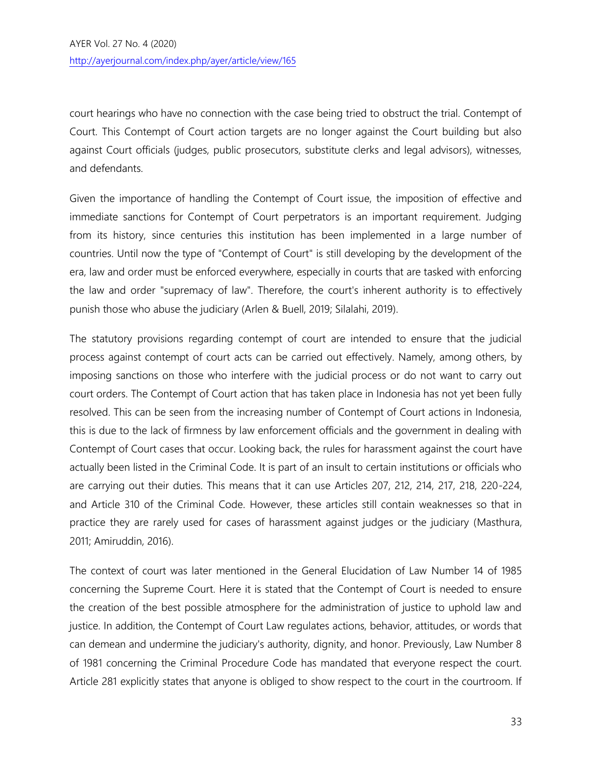court hearings who have no connection with the case being tried to obstruct the trial. Contempt of Court. This Contempt of Court action targets are no longer against the Court building but also against Court officials (judges, public prosecutors, substitute clerks and legal advisors), witnesses, and defendants.

Given the importance of handling the Contempt of Court issue, the imposition of effective and immediate sanctions for Contempt of Court perpetrators is an important requirement. Judging from its history, since centuries this institution has been implemented in a large number of countries. Until now the type of "Contempt of Court" is still developing by the development of the era, law and order must be enforced everywhere, especially in courts that are tasked with enforcing the law and order "supremacy of law". Therefore, the court's inherent authority is to effectively punish those who abuse the judiciary (Arlen & Buell, 2019; Silalahi, 2019).

The statutory provisions regarding contempt of court are intended to ensure that the judicial process against contempt of court acts can be carried out effectively. Namely, among others, by imposing sanctions on those who interfere with the judicial process or do not want to carry out court orders. The Contempt of Court action that has taken place in Indonesia has not yet been fully resolved. This can be seen from the increasing number of Contempt of Court actions in Indonesia, this is due to the lack of firmness by law enforcement officials and the government in dealing with Contempt of Court cases that occur. Looking back, the rules for harassment against the court have actually been listed in the Criminal Code. It is part of an insult to certain institutions or officials who are carrying out their duties. This means that it can use Articles 207, 212, 214, 217, 218, 220-224, and Article 310 of the Criminal Code. However, these articles still contain weaknesses so that in practice they are rarely used for cases of harassment against judges or the judiciary (Masthura, 2011; Amiruddin, 2016).

The context of court was later mentioned in the General Elucidation of Law Number 14 of 1985 concerning the Supreme Court. Here it is stated that the Contempt of Court is needed to ensure the creation of the best possible atmosphere for the administration of justice to uphold law and justice. In addition, the Contempt of Court Law regulates actions, behavior, attitudes, or words that can demean and undermine the judiciary's authority, dignity, and honor. Previously, Law Number 8 of 1981 concerning the Criminal Procedure Code has mandated that everyone respect the court. Article 281 explicitly states that anyone is obliged to show respect to the court in the courtroom. If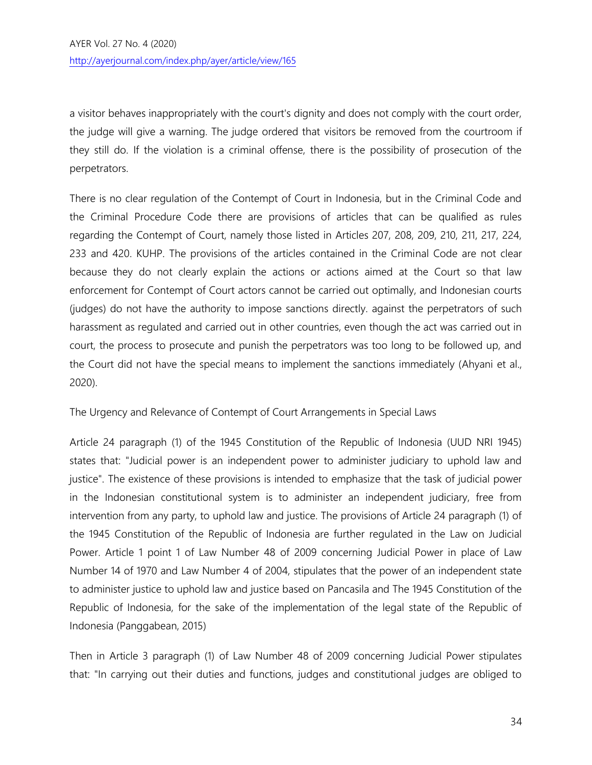a visitor behaves inappropriately with the court's dignity and does not comply with the court order, the judge will give a warning. The judge ordered that visitors be removed from the courtroom if they still do. If the violation is a criminal offense, there is the possibility of prosecution of the perpetrators.

There is no clear regulation of the Contempt of Court in Indonesia, but in the Criminal Code and the Criminal Procedure Code there are provisions of articles that can be qualified as rules regarding the Contempt of Court, namely those listed in Articles 207, 208, 209, 210, 211, 217, 224, 233 and 420. KUHP. The provisions of the articles contained in the Criminal Code are not clear because they do not clearly explain the actions or actions aimed at the Court so that law enforcement for Contempt of Court actors cannot be carried out optimally, and Indonesian courts (judges) do not have the authority to impose sanctions directly. against the perpetrators of such harassment as regulated and carried out in other countries, even though the act was carried out in court, the process to prosecute and punish the perpetrators was too long to be followed up, and the Court did not have the special means to implement the sanctions immediately (Ahyani et al., 2020).

The Urgency and Relevance of Contempt of Court Arrangements in Special Laws

Article 24 paragraph (1) of the 1945 Constitution of the Republic of Indonesia (UUD NRI 1945) states that: "Judicial power is an independent power to administer judiciary to uphold law and justice". The existence of these provisions is intended to emphasize that the task of judicial power in the Indonesian constitutional system is to administer an independent judiciary, free from intervention from any party, to uphold law and justice. The provisions of Article 24 paragraph (1) of the 1945 Constitution of the Republic of Indonesia are further regulated in the Law on Judicial Power. Article 1 point 1 of Law Number 48 of 2009 concerning Judicial Power in place of Law Number 14 of 1970 and Law Number 4 of 2004, stipulates that the power of an independent state to administer justice to uphold law and justice based on Pancasila and The 1945 Constitution of the Republic of Indonesia, for the sake of the implementation of the legal state of the Republic of Indonesia (Panggabean, 2015)

Then in Article 3 paragraph (1) of Law Number 48 of 2009 concerning Judicial Power stipulates that: "In carrying out their duties and functions, judges and constitutional judges are obliged to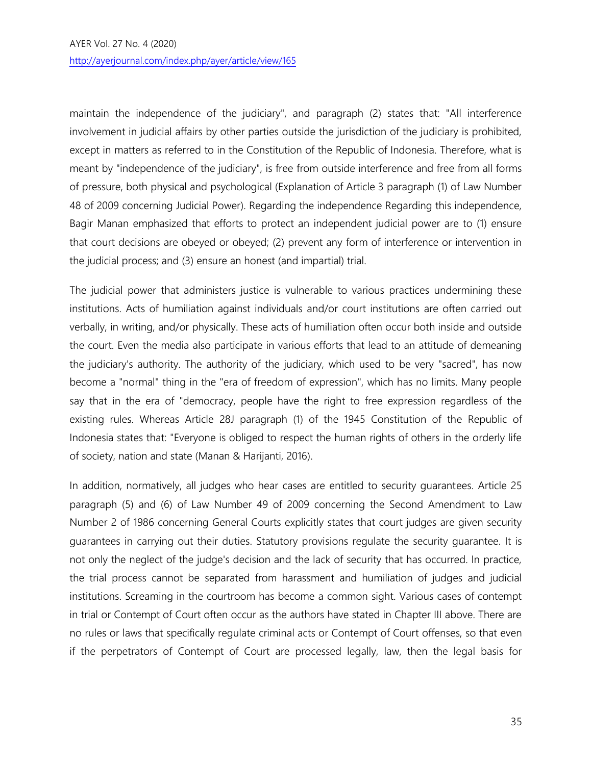#### AYER Vol. 27 No. 4 (2020)

<http://ayerjournal.com/index.php/ayer/article/view/165>

maintain the independence of the judiciary", and paragraph (2) states that: "All interference involvement in judicial affairs by other parties outside the jurisdiction of the judiciary is prohibited, except in matters as referred to in the Constitution of the Republic of Indonesia. Therefore, what is meant by "independence of the judiciary", is free from outside interference and free from all forms of pressure, both physical and psychological (Explanation of Article 3 paragraph (1) of Law Number 48 of 2009 concerning Judicial Power). Regarding the independence Regarding this independence, Bagir Manan emphasized that efforts to protect an independent judicial power are to (1) ensure that court decisions are obeyed or obeyed; (2) prevent any form of interference or intervention in the judicial process; and (3) ensure an honest (and impartial) trial.

The judicial power that administers justice is vulnerable to various practices undermining these institutions. Acts of humiliation against individuals and/or court institutions are often carried out verbally, in writing, and/or physically. These acts of humiliation often occur both inside and outside the court. Even the media also participate in various efforts that lead to an attitude of demeaning the judiciary's authority. The authority of the judiciary, which used to be very "sacred", has now become a "normal" thing in the "era of freedom of expression", which has no limits. Many people say that in the era of "democracy, people have the right to free expression regardless of the existing rules. Whereas Article 28J paragraph (1) of the 1945 Constitution of the Republic of Indonesia states that: "Everyone is obliged to respect the human rights of others in the orderly life of society, nation and state (Manan & Harijanti, 2016).

In addition, normatively, all judges who hear cases are entitled to security guarantees. Article 25 paragraph (5) and (6) of Law Number 49 of 2009 concerning the Second Amendment to Law Number 2 of 1986 concerning General Courts explicitly states that court judges are given security guarantees in carrying out their duties. Statutory provisions regulate the security guarantee. It is not only the neglect of the judge's decision and the lack of security that has occurred. In practice, the trial process cannot be separated from harassment and humiliation of judges and judicial institutions. Screaming in the courtroom has become a common sight. Various cases of contempt in trial or Contempt of Court often occur as the authors have stated in Chapter III above. There are no rules or laws that specifically regulate criminal acts or Contempt of Court offenses, so that even if the perpetrators of Contempt of Court are processed legally, law, then the legal basis for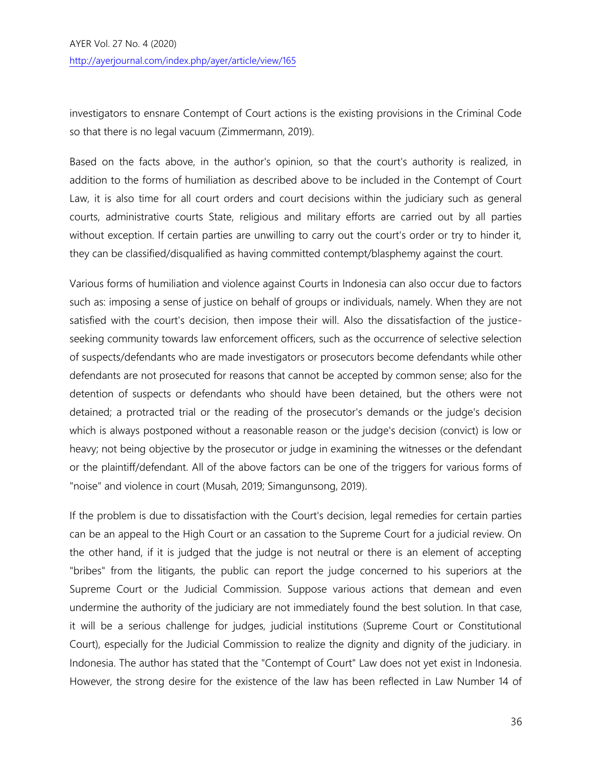investigators to ensnare Contempt of Court actions is the existing provisions in the Criminal Code so that there is no legal vacuum (Zimmermann, 2019).

Based on the facts above, in the author's opinion, so that the court's authority is realized, in addition to the forms of humiliation as described above to be included in the Contempt of Court Law, it is also time for all court orders and court decisions within the judiciary such as general courts, administrative courts State, religious and military efforts are carried out by all parties without exception. If certain parties are unwilling to carry out the court's order or try to hinder it, they can be classified/disqualified as having committed contempt/blasphemy against the court.

Various forms of humiliation and violence against Courts in Indonesia can also occur due to factors such as: imposing a sense of justice on behalf of groups or individuals, namely. When they are not satisfied with the court's decision, then impose their will. Also the dissatisfaction of the justiceseeking community towards law enforcement officers, such as the occurrence of selective selection of suspects/defendants who are made investigators or prosecutors become defendants while other defendants are not prosecuted for reasons that cannot be accepted by common sense; also for the detention of suspects or defendants who should have been detained, but the others were not detained; a protracted trial or the reading of the prosecutor's demands or the judge's decision which is always postponed without a reasonable reason or the judge's decision (convict) is low or heavy; not being objective by the prosecutor or judge in examining the witnesses or the defendant or the plaintiff/defendant. All of the above factors can be one of the triggers for various forms of "noise" and violence in court (Musah, 2019; Simangunsong, 2019).

If the problem is due to dissatisfaction with the Court's decision, legal remedies for certain parties can be an appeal to the High Court or an cassation to the Supreme Court for a judicial review. On the other hand, if it is judged that the judge is not neutral or there is an element of accepting "bribes" from the litigants, the public can report the judge concerned to his superiors at the Supreme Court or the Judicial Commission. Suppose various actions that demean and even undermine the authority of the judiciary are not immediately found the best solution. In that case, it will be a serious challenge for judges, judicial institutions (Supreme Court or Constitutional Court), especially for the Judicial Commission to realize the dignity and dignity of the judiciary. in Indonesia. The author has stated that the "Contempt of Court" Law does not yet exist in Indonesia. However, the strong desire for the existence of the law has been reflected in Law Number 14 of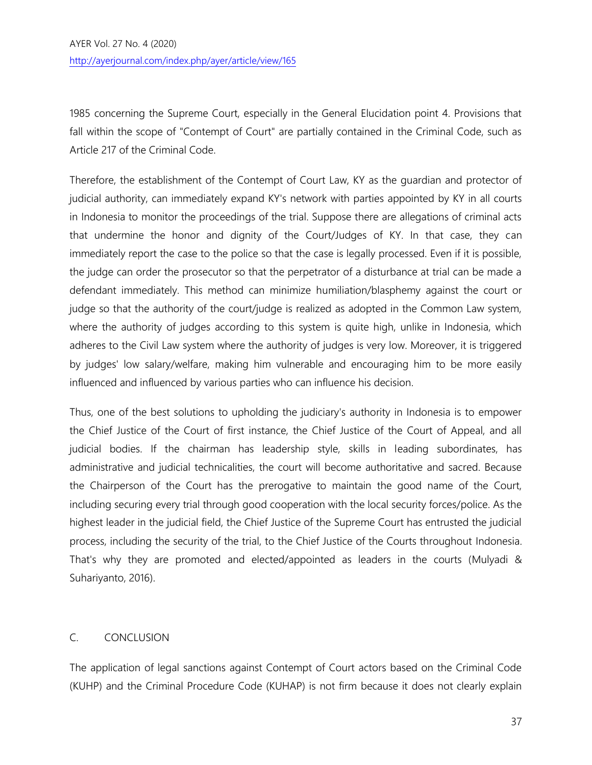1985 concerning the Supreme Court, especially in the General Elucidation point 4. Provisions that fall within the scope of "Contempt of Court" are partially contained in the Criminal Code, such as Article 217 of the Criminal Code.

Therefore, the establishment of the Contempt of Court Law, KY as the guardian and protector of judicial authority, can immediately expand KY's network with parties appointed by KY in all courts in Indonesia to monitor the proceedings of the trial. Suppose there are allegations of criminal acts that undermine the honor and dignity of the Court/Judges of KY. In that case, they can immediately report the case to the police so that the case is legally processed. Even if it is possible, the judge can order the prosecutor so that the perpetrator of a disturbance at trial can be made a defendant immediately. This method can minimize humiliation/blasphemy against the court or judge so that the authority of the court/judge is realized as adopted in the Common Law system, where the authority of judges according to this system is quite high, unlike in Indonesia, which adheres to the Civil Law system where the authority of judges is very low. Moreover, it is triggered by judges' low salary/welfare, making him vulnerable and encouraging him to be more easily influenced and influenced by various parties who can influence his decision.

Thus, one of the best solutions to upholding the judiciary's authority in Indonesia is to empower the Chief Justice of the Court of first instance, the Chief Justice of the Court of Appeal, and all judicial bodies. If the chairman has leadership style, skills in leading subordinates, has administrative and judicial technicalities, the court will become authoritative and sacred. Because the Chairperson of the Court has the prerogative to maintain the good name of the Court, including securing every trial through good cooperation with the local security forces/police. As the highest leader in the judicial field, the Chief Justice of the Supreme Court has entrusted the judicial process, including the security of the trial, to the Chief Justice of the Courts throughout Indonesia. That's why they are promoted and elected/appointed as leaders in the courts (Mulyadi & Suhariyanto, 2016).

# C. CONCLUSION

The application of legal sanctions against Contempt of Court actors based on the Criminal Code (KUHP) and the Criminal Procedure Code (KUHAP) is not firm because it does not clearly explain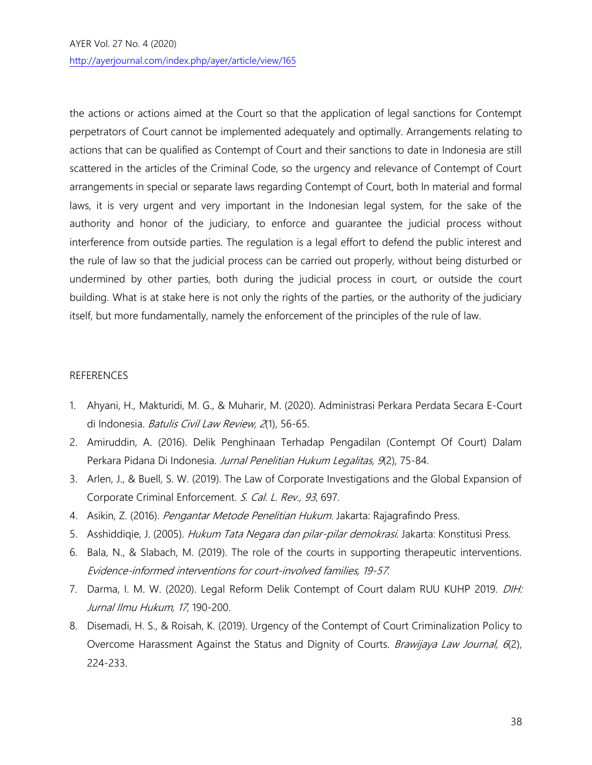the actions or actions aimed at the Court so that the application of legal sanctions for Contempt perpetrators of Court cannot be implemented adequately and optimally. Arrangements relating to actions that can be qualified as Contempt of Court and their sanctions to date in Indonesia are still scattered in the articles of the Criminal Code, so the urgency and relevance of Contempt of Court arrangements in special or separate laws regarding Contempt of Court, both In material and formal laws, it is very urgent and very important in the Indonesian legal system, for the sake of the authority and honor of the judiciary, to enforce and guarantee the judicial process without interference from outside parties. The regulation is a legal effort to defend the public interest and the rule of law so that the judicial process can be carried out properly, without being disturbed or undermined by other parties, both during the judicial process in court, or outside the court building. What is at stake here is not only the rights of the parties, or the authority of the judiciary itself, but more fundamentally, namely the enforcement of the principles of the rule of law.

## REFERENCES

- 1. Ahyani, H., Makturidi, M. G., & Muharir, M. (2020). Administrasi Perkara Perdata Secara E-Court di Indonesia. Batulis Civil Law Review, 2(1), 56-65.
- 2. Amiruddin, A. (2016). Delik Penghinaan Terhadap Pengadilan (Contempt Of Court) Dalam Perkara Pidana Di Indonesia. Jurnal Penelitian Hukum Legalitas, 9(2), 75-84.
- 3. Arlen, J., & Buell, S. W. (2019). The Law of Corporate Investigations and the Global Expansion of Corporate Criminal Enforcement. S. Cal. L. Rev., 93, 697.
- 4. Asikin, Z. (2016). Pengantar Metode Penelitian Hukum. Jakarta: Rajagrafindo Press.
- 5. Asshiddiqie, J. (2005). Hukum Tata Negara dan pilar-pilar demokrasi. Jakarta: Konstitusi Press.
- 6. Bala, N., & Slabach, M. (2019). The role of the courts in supporting therapeutic interventions. Evidence-informed interventions for court-involved families, 19-57.
- 7. Darma, I. M. W. (2020). Legal Reform Delik Contempt of Court dalam RUU KUHP 2019. DIH: Jurnal Ilmu Hukum, 17, 190-200.
- 8. Disemadi, H. S., & Roisah, K. (2019). Urgency of the Contempt of Court Criminalization Policy to Overcome Harassment Against the Status and Dignity of Courts. *Brawijaya Law Journal, 6*(2), 224-233.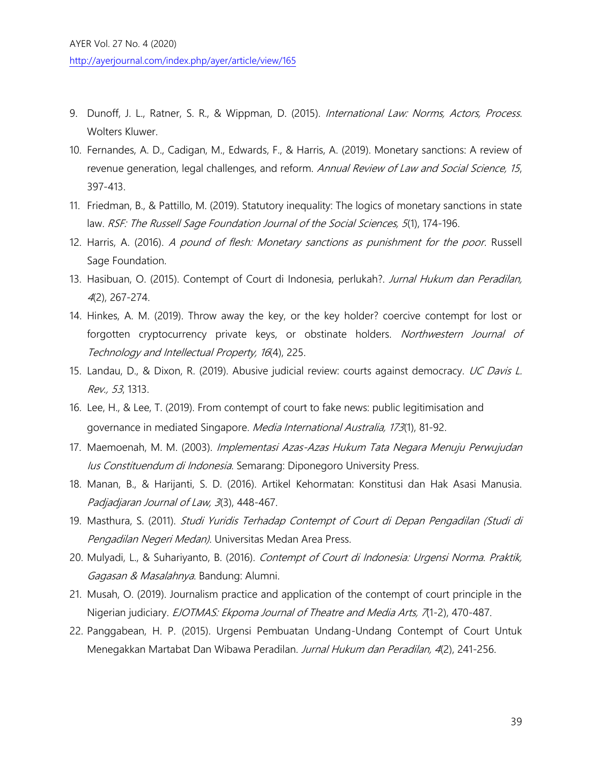- 9. Dunoff, J. L., Ratner, S. R., & Wippman, D. (2015). *International Law: Norms, Actors, Process.* Wolters Kluwer.
- 10. Fernandes, A. D., Cadigan, M., Edwards, F., & Harris, A. (2019). Monetary sanctions: A review of revenue generation, legal challenges, and reform. Annual Review of Law and Social Science, 15, 397-413.
- 11. Friedman, B., & Pattillo, M. (2019). Statutory inequality: The logics of monetary sanctions in state law. RSF: The Russell Sage Foundation Journal of the Social Sciences, 5(1), 174-196.
- 12. Harris, A. (2016). A pound of flesh: Monetary sanctions as punishment for the poor. Russell Sage Foundation.
- 13. Hasibuan, O. (2015). Contempt of Court di Indonesia, perlukah?. Jurnal Hukum dan Peradilan, <sup>4</sup>(2), 267-274.
- 14. Hinkes, A. M. (2019). Throw away the key, or the key holder? coercive contempt for lost or forgotten cryptocurrency private keys, or obstinate holders. Northwestern Journal of Technology and Intellectual Property, 16(4), 225.
- 15. Landau, D., & Dixon, R. (2019). Abusive judicial review: courts against democracy. UC Davis L. Rev., 53, 1313.
- 16. Lee, H., & Lee, T. (2019). From contempt of court to fake news: public legitimisation and governance in mediated Singapore. Media International Australia, 173(1), 81-92.
- 17. Maemoenah, M. M. (2003). *Implementasi Azas-Azas Hukum Tata Negara Menuju Perwujudan* Ius Constituendum di Indonesia. Semarang: Diponegoro University Press.
- 18. Manan, B., & Harijanti, S. D. (2016). Artikel Kehormatan: Konstitusi dan Hak Asasi Manusia. Padjadjaran Journal of Law, 3(3), 448-467.
- 19. Masthura, S. (2011). Studi Yuridis Terhadap Contempt of Court di Depan Pengadilan (Studi di Pengadilan Negeri Medan). Universitas Medan Area Press.
- 20. Mulyadi, L., & Suhariyanto, B. (2016). Contempt of Court di Indonesia: Urgensi Norma. Praktik, Gagasan & Masalahnya. Bandung: Alumni.
- 21. Musah, O. (2019). Journalism practice and application of the contempt of court principle in the Nigerian judiciary. EJOTMAS: Ekpoma Journal of Theatre and Media Arts, 7(1-2), 470-487.
- 22. Panggabean, H. P. (2015). Urgensi Pembuatan Undang-Undang Contempt of Court Untuk Menegakkan Martabat Dan Wibawa Peradilan. Jurnal Hukum dan Peradilan, 4(2), 241-256.